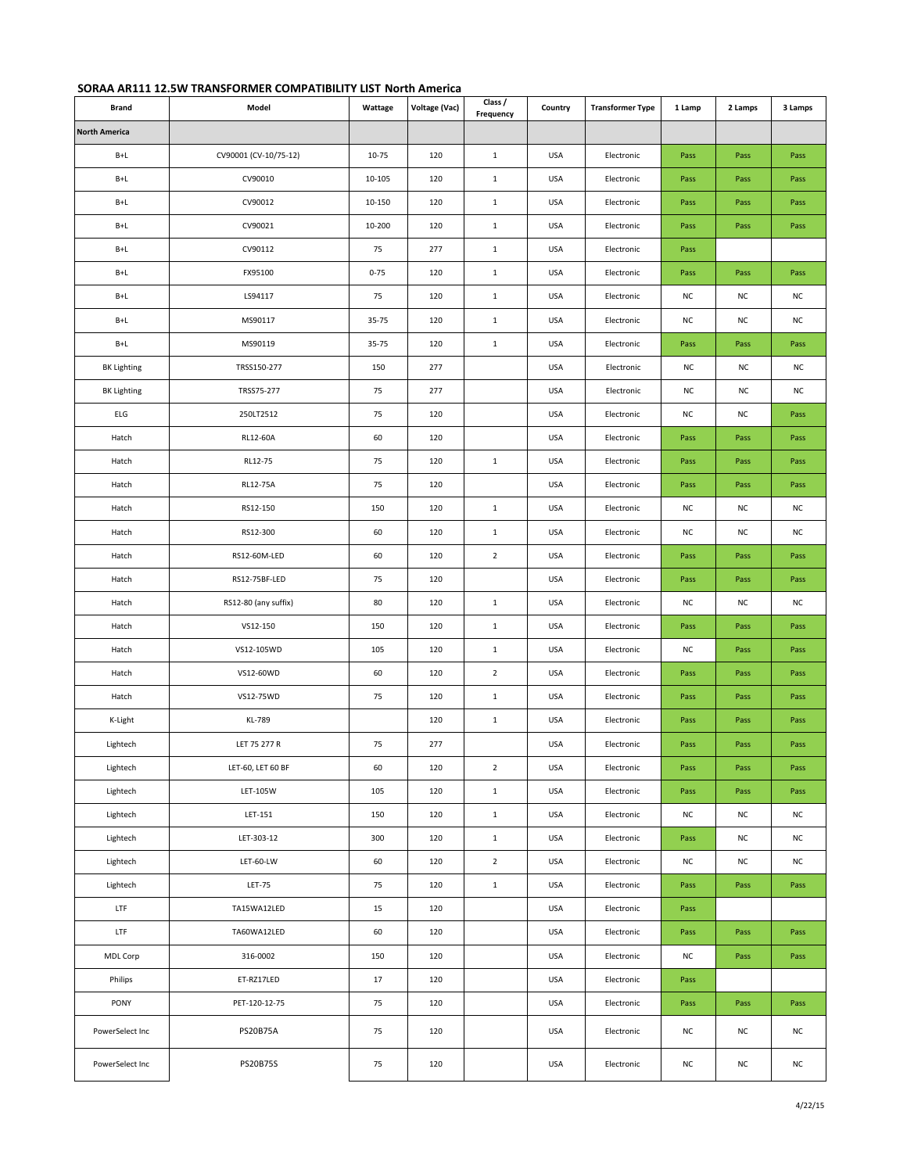| SORAA AR111 12.5W TRANSFORMER COMPATIBILITY LIST North America |
|----------------------------------------------------------------|
|----------------------------------------------------------------|

| <b>Brand</b>         | Model                 | Wattage  | Voltage (Vac) | Class /<br>Frequency | Country    | <b>Transformer Type</b> | 1 Lamp    | 2 Lamps   | 3 Lamps   |
|----------------------|-----------------------|----------|---------------|----------------------|------------|-------------------------|-----------|-----------|-----------|
| <b>North America</b> |                       |          |               |                      |            |                         |           |           |           |
| $B+L$                | CV90001 (CV-10/75-12) | 10-75    | 120           | $\mathbf 1$          | <b>USA</b> | Electronic              | Pass      | Pass      | Pass      |
| $B+L$                | CV90010               | 10-105   | 120           | $\mathbf{1}$         | USA        | Electronic              | Pass      | Pass      | Pass      |
| $B+L$                | CV90012               | 10-150   | 120           | $\mathbf 1$          | <b>USA</b> | Electronic              | Pass      | Pass      | Pass      |
| $B+L$                | CV90021               | 10-200   | 120           | $\mathbf 1$          | USA        | Electronic              | Pass      | Pass      | Pass      |
| $B+L$                | CV90112               | 75       | 277           | $\mathbf{1}$         | <b>USA</b> | Electronic              | Pass      |           |           |
| $B+L$                | FX95100               | $0 - 75$ | 120           | $\mathbf 1$          | <b>USA</b> | Electronic              | Pass      | Pass      | Pass      |
| B+L                  | LS94117               | 75       | 120           | $\mathbf{1}$         | <b>USA</b> | Electronic              | <b>NC</b> | <b>NC</b> | NC        |
| $B+L$                | MS90117               | 35-75    | 120           | $\mathbf{1}$         | <b>USA</b> | Electronic              | <b>NC</b> | <b>NC</b> | NC        |
| $B+L$                | MS90119               | 35-75    | 120           | $\mathbf{1}$         | USA        | Electronic              | Pass      | Pass      | Pass      |
| <b>BK Lighting</b>   | TRSS150-277           | 150      | 277           |                      | <b>USA</b> | Electronic              | NC        | <b>NC</b> | <b>NC</b> |
| <b>BK Lighting</b>   | TRSS75-277            | 75       | 277           |                      | <b>USA</b> | Electronic              | NC        | <b>NC</b> | NC        |
| ELG                  | 250LT2512             | 75       | 120           |                      | USA        | Electronic              | <b>NC</b> | NC        | Pass      |
| Hatch                | RL12-60A              | 60       | 120           |                      | <b>USA</b> | Electronic              | Pass      | Pass      | Pass      |
| Hatch                | RL12-75               | 75       | 120           | $\mathbf 1$          | USA        | Electronic              | Pass      | Pass      | Pass      |
| Hatch                | RL12-75A              | 75       | 120           |                      | USA        | Electronic              | Pass      | Pass      | Pass      |
| Hatch                | RS12-150              | 150      | 120           | $\mathbf 1$          | <b>USA</b> | Electronic              | <b>NC</b> | <b>NC</b> | NC        |
| Hatch                | RS12-300              | 60       | 120           | $\mathbf 1$          | <b>USA</b> | Electronic              | <b>NC</b> | <b>NC</b> | NC        |
| Hatch                | RS12-60M-LED          | 60       | 120           | $\overline{2}$       | <b>USA</b> | Electronic              | Pass      | Pass      | Pass      |
| Hatch                | RS12-75BF-LED         | 75       | 120           |                      | USA        | Electronic              | Pass      | Pass      | Pass      |
| Hatch                | RS12-80 (any suffix)  | 80       | 120           | $\mathbf 1$          | <b>USA</b> | Electronic              | <b>NC</b> | <b>NC</b> | NC        |
| Hatch                | VS12-150              | 150      | 120           | $\mathbf{1}$         | <b>USA</b> | Electronic              | Pass      | Pass      | Pass      |
| Hatch                | VS12-105WD            | 105      | 120           | $\mathbf{1}$         | <b>USA</b> | Electronic              | <b>NC</b> | Pass      | Pass      |
| Hatch                | VS12-60WD             | 60       | 120           | $\overline{2}$       | <b>USA</b> | Electronic              | Pass      | Pass      | Pass      |
| Hatch                | VS12-75WD             | 75       | 120           | $\mathbf 1$          | USA        | Electronic              | Pass      | Pass      | Pass      |
| K-Light              | KL-789                |          | 120           | $\mathbf{1}$         | USA        | Electronic              | Pass      | Pass      | Pass      |
| Lightech             | LET 75 277 R          | 75       | 277           |                      | <b>USA</b> | Electronic              | Pass      | Pass      | Pass      |
| Lightech             | LET-60, LET 60 BF     | 60       | 120           | $\overline{2}$       | USA        | Electronic              | Pass      | Pass      | Pass      |
| Lightech             | LET-105W              | 105      | 120           | $\mathbf{1}$         | <b>USA</b> | Electronic              | Pass      | Pass      | Pass      |
| Lightech             | LET-151               | 150      | 120           | $1\,$                | USA        | Electronic              | <b>NC</b> | <b>NC</b> | NC        |
| Lightech             | LET-303-12            | 300      | 120           | $\mathbf{1}$         | <b>USA</b> | Electronic              | Pass      | NC        | NC        |
| Lightech             | LET-60-LW             | 60       | 120           | $\overline{2}$       | <b>USA</b> | Electronic              | NC        | <b>NC</b> | NC        |
| Lightech             | <b>LET-75</b>         | 75       | 120           | $\mathbf{1}$         | <b>USA</b> | Electronic              | Pass      | Pass      | Pass      |
| <b>LTF</b>           | TA15WA12LED           | 15       | 120           |                      | <b>USA</b> | Electronic              | Pass      |           |           |
| <b>LTF</b>           | TA60WA12LED           | 60       | 120           |                      | USA        | Electronic              | Pass      | Pass      | Pass      |
| MDL Corp             | 316-0002              | 150      | 120           |                      | <b>USA</b> | Electronic              | NC        | Pass      | Pass      |
| Philips              | ET-RZ17LED            | 17       | 120           |                      | <b>USA</b> | Electronic              | Pass      |           |           |
| PONY                 | PET-120-12-75         | 75       | 120           |                      | USA        | Electronic              | Pass      | Pass      | Pass      |
| PowerSelect Inc      | <b>PS20B75A</b>       | 75       | 120           |                      | <b>USA</b> | Electronic              | NC        | NC        | NC        |
| PowerSelect Inc      | <b>PS20B75S</b>       | 75       | 120           |                      | <b>USA</b> | Electronic              | <b>NC</b> | NC        | NC        |